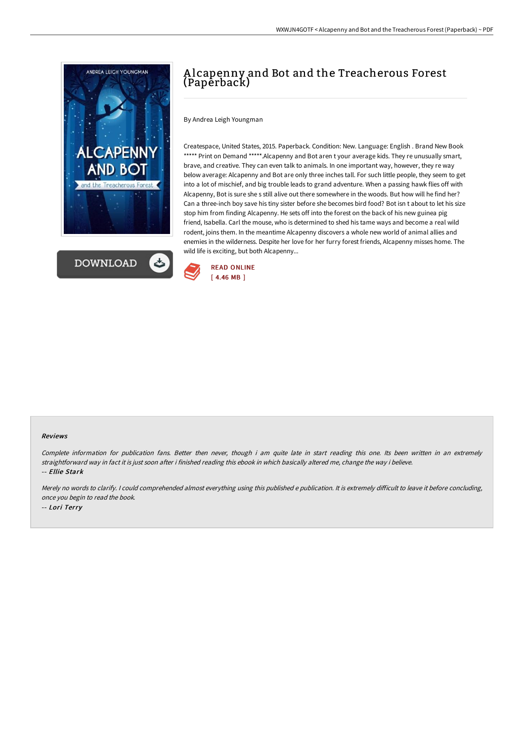



# A lcapenny and Bot and the Treacherous Forest (Paperback)

By Andrea Leigh Youngman

Createspace, United States, 2015. Paperback. Condition: New. Language: English . Brand New Book \*\*\*\*\* Print on Demand \*\*\*\*\*. Alcapenny and Bot aren t your average kids. They re unusually smart, brave, and creative. They can even talk to animals. In one important way, however, they re way below average: Alcapenny and Bot are only three inches tall. For such little people, they seem to get into a lot of mischief, and big trouble leads to grand adventure. When a passing hawk flies off with Alcapenny, Bot is sure she s still alive out there somewhere in the woods. But how will he find her? Can a three-inch boy save his tiny sister before she becomes bird food? Bot isn t about to let his size stop him from finding Alcapenny. He sets off into the forest on the back of his new guinea pig friend, Isabella. Carl the mouse, who is determined to shed his tame ways and become a real wild rodent, joins them. In the meantime Alcapenny discovers a whole new world of animal allies and enemies in the wilderness. Despite her love for her furry forest friends, Alcapenny misses home. The wild life is exciting, but both Alcapenny...



#### Reviews

Complete information for publication fans. Better then never, though i am quite late in start reading this one. Its been written in an extremely straightforward way in fact it is just soon after i finished reading this ebook in which basically altered me, change the way i believe. -- Ellie Stark

Merely no words to clarify. I could comprehended almost everything using this published e publication. It is extremely difficult to leave it before concluding, once you begin to read the book. -- Lori Terry